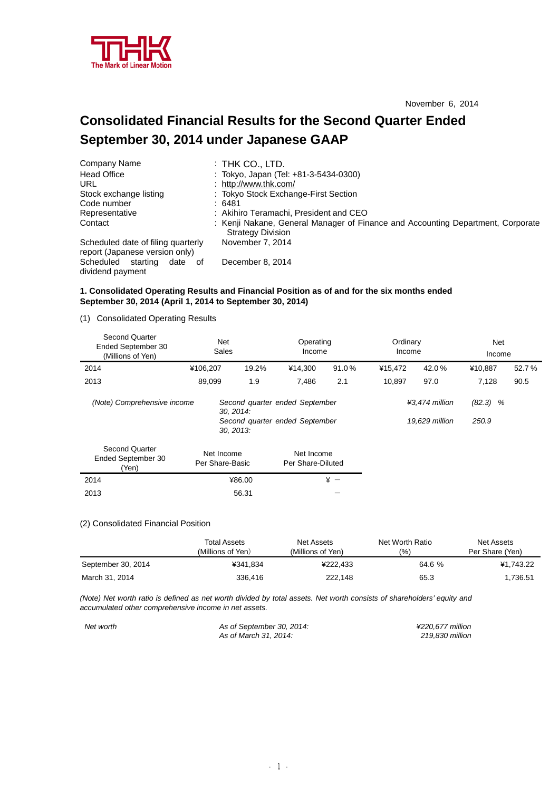

# **Consolidated Financial Results for the Second Quarter Ended September 30, 2014 under Japanese GAAP**

| Company Name                                                         | $:$ THK CO., LTD.                                                                                           |
|----------------------------------------------------------------------|-------------------------------------------------------------------------------------------------------------|
| <b>Head Office</b>                                                   | : Tokyo, Japan (Tel: +81-3-5434-0300)                                                                       |
| URL                                                                  | : http://www.thk.com/                                                                                       |
| Stock exchange listing                                               | : Tokyo Stock Exchange-First Section                                                                        |
| Code number                                                          | :6481                                                                                                       |
| Representative                                                       | : Akihiro Teramachi, President and CEO                                                                      |
| Contact                                                              | : Kenji Nakane, General Manager of Finance and Accounting Department, Corporate<br><b>Strategy Division</b> |
| Scheduled date of filing quarterly<br>report (Japanese version only) | November 7, 2014                                                                                            |
| Scheduled starting<br>date of<br>dividend payment                    | December 8, 2014                                                                                            |

# **1. Consolidated Operating Results and Financial Position as of and for the six months ended September 30, 2014 (April 1, 2014 to September 30, 2014)**

(1) Consolidated Operating Results

| <b>Second Quarter</b><br>Ended September 30<br>(Millions of Yen) | Net<br><b>Sales</b>           |       | Operating<br>Income                                              |       | Ordinary<br>Income |                                  | Net<br>Income       |       |
|------------------------------------------------------------------|-------------------------------|-------|------------------------------------------------------------------|-------|--------------------|----------------------------------|---------------------|-------|
| 2014                                                             | ¥106,207                      | 19.2% | ¥14,300                                                          | 91.0% | ¥15,472            | 42.0%                            | ¥10,887             | 52.7% |
| 2013                                                             | 89,099                        | 1.9   | 7,486                                                            | 2.1   | 10.897             | 97.0                             | 7,128               | 90.5  |
| (Note) Comprehensive income                                      | 30, 2014:<br>30, 2013:        |       | Second quarter ended September<br>Second quarter ended September |       |                    | ¥3,474 million<br>19.629 million | $(82.3)$ %<br>250.9 |       |
| <b>Second Quarter</b><br>Ended September 30<br>(Yen)             | Net Income<br>Per Share-Basic |       | Net Income<br>Per Share-Diluted                                  |       |                    |                                  |                     |       |
| 2014                                                             | ¥86.00                        |       |                                                                  | $* -$ |                    |                                  |                     |       |
| 2013                                                             |                               | 56.31 |                                                                  |       |                    |                                  |                     |       |

#### (2) Consolidated Financial Position

|                    | Total Assets<br>(Millions of Yen) | Net Assets<br>(Millions of Yen) | Net Worth Ratio<br>(9/0) | Net Assets<br>Per Share (Yen) |
|--------------------|-----------------------------------|---------------------------------|--------------------------|-------------------------------|
| September 30, 2014 | ¥341.834                          | ¥222.433                        | 64.6 %                   | ¥1.743.22                     |
| March 31, 2014     | 336.416                           | 222.148                         | 65.3                     | 1.736.51                      |

(Note) Net worth ratio is defined as net worth divided by total assets. Net worth consists of shareholders' equity and *accumulated other comprehensive income in net assets.* 

| Net worth | As of September 30, 2014: | ¥220.677 million |
|-----------|---------------------------|------------------|
|           | As of March 31, 2014:     | 219.830 million  |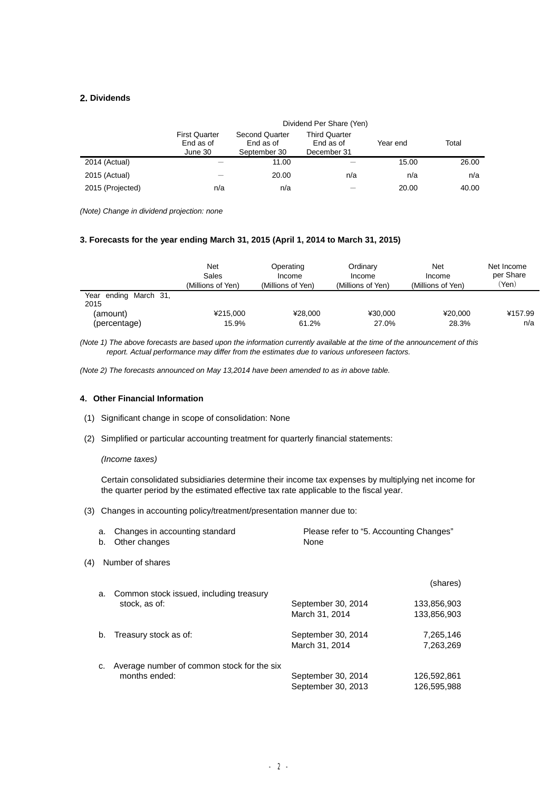## **2. Dividends**

|                  | Dividend Per Share (Yen)                     |                                                    |                                                  |          |       |  |
|------------------|----------------------------------------------|----------------------------------------------------|--------------------------------------------------|----------|-------|--|
|                  | <b>First Quarter</b><br>End as of<br>June 30 | <b>Second Quarter</b><br>End as of<br>September 30 | <b>Third Quarter</b><br>End as of<br>December 31 | Year end | Total |  |
| 2014 (Actual)    |                                              | 11.00                                              |                                                  | 15.00    | 26.00 |  |
| 2015 (Actual)    |                                              | 20.00                                              | n/a                                              | n/a      | n/a   |  |
| 2015 (Projected) | n/a                                          | n/a                                                |                                                  | 20.00    | 40.00 |  |

*(Note) Change in dividend projection: none* 

#### **3. Forecasts for the year ending March 31, 2015 (April 1, 2014 to March 31, 2015)**

|                                  | Net<br>Sales<br>(Millions of Yen) | Operating<br>Income<br>(Millions of Yen) | Ordinary<br>Income<br>(Millions of Yen) | Net<br>Income<br>(Millions of Yen) | Net Income<br>per Share<br>(Yen) |
|----------------------------------|-----------------------------------|------------------------------------------|-----------------------------------------|------------------------------------|----------------------------------|
| ending March 31,<br>Year<br>2015 |                                   |                                          |                                         |                                    |                                  |
| (amount)                         | ¥215,000                          | ¥28.000                                  | ¥30.000                                 | ¥20.000                            | ¥157.99                          |
| (percentage)                     | 15.9%                             | 61.2%                                    | 27.0%                                   | 28.3%                              | n/a                              |

(Note 1) The above forecasts are based upon the information currently available at the time of the announcement of this *report. Actual performance may differ from the estimates due to various unforeseen factors.* 

*(Note 2) The forecasts announced on May 13,2014 have been amended to as in above table.* 

### **4.Other Financial Information**

- (1) Significant change in scope of consolidation: None
- (2) Simplified or particular accounting treatment for quarterly financial statements:

#### *(Income taxes)*

Certain consolidated subsidiaries determine their income tax expenses by multiplying net income for the quarter period by the estimated effective tax rate applicable to the fiscal year.

(3) Changes in accounting policy/treatment/presentation manner due to:

|     | a.<br>b. | Changes in accounting standard<br>Other changes | Please refer to "5. Accounting Changes"<br>None |             |
|-----|----------|-------------------------------------------------|-------------------------------------------------|-------------|
| (4) |          | Number of shares                                |                                                 |             |
|     | a.       | Common stock issued, including treasury         |                                                 | (shares)    |
|     |          | stock, as of:                                   | September 30, 2014                              | 133,856,903 |
|     |          |                                                 | March 31, 2014                                  | 133,856,903 |
|     |          | b. Treasury stock as of:                        | September 30, 2014                              | 7,265,146   |
|     |          |                                                 | March 31, 2014                                  | 7.263.269   |
|     | c.       | Average number of common stock for the six      |                                                 |             |
|     |          | months ended:                                   | September 30, 2014                              | 126,592,861 |
|     |          |                                                 | September 30, 2013                              | 126,595,988 |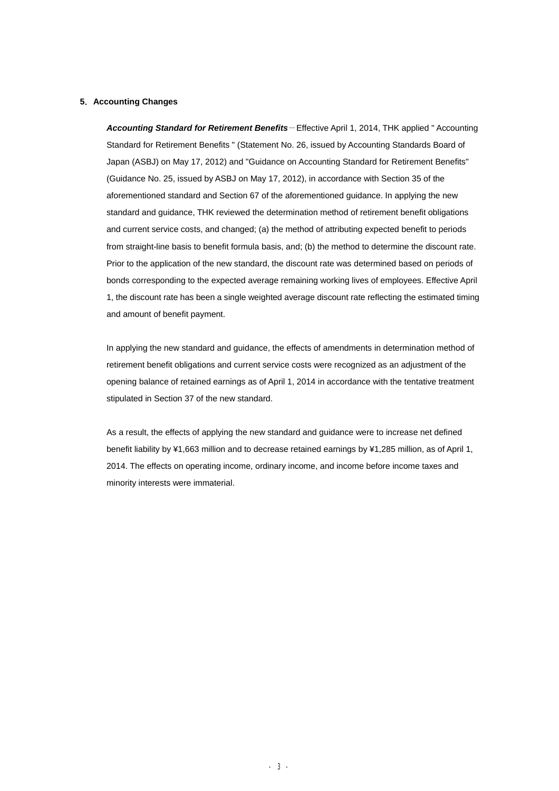### **5.Accounting Changes**

*Accounting Standard for Retirement Benefits*-Effective April 1, 2014, THK applied " Accounting Standard for Retirement Benefits " (Statement No. 26, issued by Accounting Standards Board of Japan (ASBJ) on May 17, 2012) and "Guidance on Accounting Standard for Retirement Benefits" (Guidance No. 25, issued by ASBJ on May 17, 2012), in accordance with Section 35 of the aforementioned standard and Section 67 of the aforementioned guidance. In applying the new standard and guidance, THK reviewed the determination method of retirement benefit obligations and current service costs, and changed; (a) the method of attributing expected benefit to periods from straight-line basis to benefit formula basis, and; (b) the method to determine the discount rate. Prior to the application of the new standard, the discount rate was determined based on periods of bonds corresponding to the expected average remaining working lives of employees. Effective April 1, the discount rate has been a single weighted average discount rate reflecting the estimated timing and amount of benefit payment.

In applying the new standard and guidance, the effects of amendments in determination method of retirement benefit obligations and current service costs were recognized as an adjustment of the opening balance of retained earnings as of April 1, 2014 in accordance with the tentative treatment stipulated in Section 37 of the new standard.

As a result, the effects of applying the new standard and guidance were to increase net defined benefit liability by ¥1,663 million and to decrease retained earnings by ¥1,285 million, as of April 1, 2014. The effects on operating income, ordinary income, and income before income taxes and minority interests were immaterial.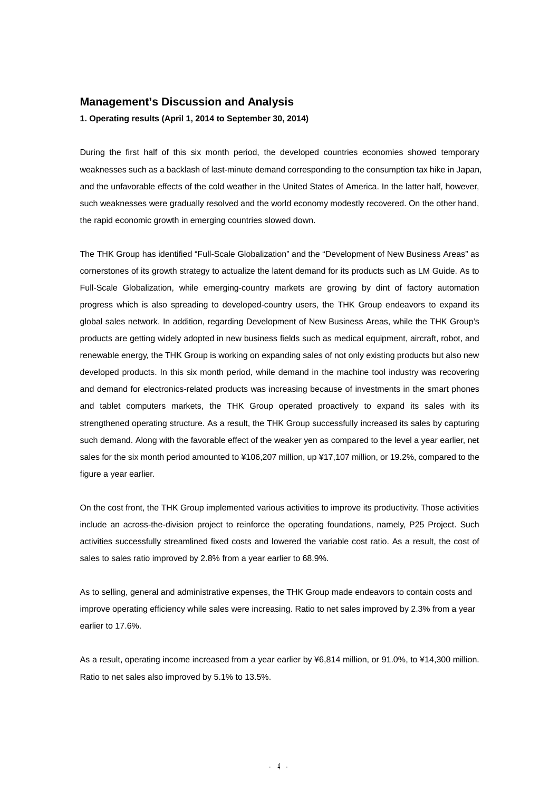# **Management's Discussion and Analysis**

**1. Operating results (April 1, 2014 to September 30, 2014)** 

During the first half of this six month period, the developed countries economies showed temporary weaknesses such as a backlash of last-minute demand corresponding to the consumption tax hike in Japan, and the unfavorable effects of the cold weather in the United States of America. In the latter half, however, such weaknesses were gradually resolved and the world economy modestly recovered. On the other hand, the rapid economic growth in emerging countries slowed down.

The THK Group has identified "Full-Scale Globalization" and the "Development of New Business Areas" as cornerstones of its growth strategy to actualize the latent demand for its products such as LM Guide. As to Full-Scale Globalization, while emerging-country markets are growing by dint of factory automation progress which is also spreading to developed-country users, the THK Group endeavors to expand its global sales network. In addition, regarding Development of New Business Areas, while the THK Group's products are getting widely adopted in new business fields such as medical equipment, aircraft, robot, and renewable energy, the THK Group is working on expanding sales of not only existing products but also new developed products. In this six month period, while demand in the machine tool industry was recovering and demand for electronics-related products was increasing because of investments in the smart phones and tablet computers markets, the THK Group operated proactively to expand its sales with its strengthened operating structure. As a result, the THK Group successfully increased its sales by capturing such demand. Along with the favorable effect of the weaker yen as compared to the level a year earlier, net sales for the six month period amounted to ¥106,207 million, up ¥17,107 million, or 19.2%, compared to the figure a year earlier.

On the cost front, the THK Group implemented various activities to improve its productivity. Those activities include an across-the-division project to reinforce the operating foundations, namely, P25 Project. Such activities successfully streamlined fixed costs and lowered the variable cost ratio. As a result, the cost of sales to sales ratio improved by 2.8% from a year earlier to 68.9%.

As to selling, general and administrative expenses, the THK Group made endeavors to contain costs and improve operating efficiency while sales were increasing. Ratio to net sales improved by 2.3% from a year earlier to 17.6%.

As a result, operating income increased from a year earlier by ¥6,814 million, or 91.0%, to ¥14,300 million. Ratio to net sales also improved by 5.1% to 13.5%.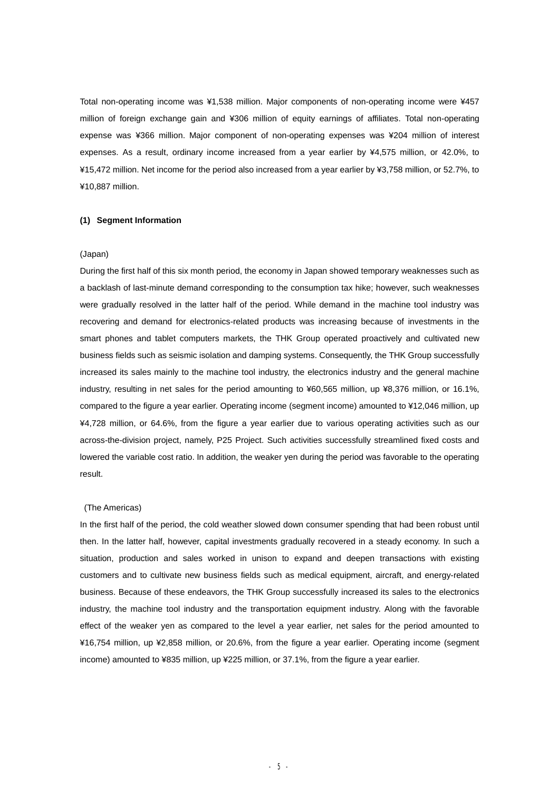Total non-operating income was ¥1,538 million. Major components of non-operating income were ¥457 million of foreign exchange gain and ¥306 million of equity earnings of affiliates. Total non-operating expense was ¥366 million. Major component of non-operating expenses was ¥204 million of interest expenses. As a result, ordinary income increased from a year earlier by ¥4,575 million, or 42.0%, to ¥15,472 million. Net income for the period also increased from a year earlier by ¥3,758 million, or 52.7%, to ¥10,887 million.

#### **(1) Segment Information**

#### (Japan)

During the first half of this six month period, the economy in Japan showed temporary weaknesses such as a backlash of last-minute demand corresponding to the consumption tax hike; however, such weaknesses were gradually resolved in the latter half of the period. While demand in the machine tool industry was recovering and demand for electronics-related products was increasing because of investments in the smart phones and tablet computers markets, the THK Group operated proactively and cultivated new business fields such as seismic isolation and damping systems. Consequently, the THK Group successfully increased its sales mainly to the machine tool industry, the electronics industry and the general machine industry, resulting in net sales for the period amounting to ¥60,565 million, up ¥8,376 million, or 16.1%, compared to the figure a year earlier. Operating income (segment income) amounted to ¥12,046 million, up ¥4,728 million, or 64.6%, from the figure a year earlier due to various operating activities such as our across-the-division project, namely, P25 Project. Such activities successfully streamlined fixed costs and lowered the variable cost ratio. In addition, the weaker yen during the period was favorable to the operating result.

#### (The Americas)

In the first half of the period, the cold weather slowed down consumer spending that had been robust until then. In the latter half, however, capital investments gradually recovered in a steady economy. In such a situation, production and sales worked in unison to expand and deepen transactions with existing customers and to cultivate new business fields such as medical equipment, aircraft, and energy-related business. Because of these endeavors, the THK Group successfully increased its sales to the electronics industry, the machine tool industry and the transportation equipment industry. Along with the favorable effect of the weaker yen as compared to the level a year earlier, net sales for the period amounted to ¥16,754 million, up ¥2,858 million, or 20.6%, from the figure a year earlier. Operating income (segment income) amounted to ¥835 million, up ¥225 million, or 37.1%, from the figure a year earlier.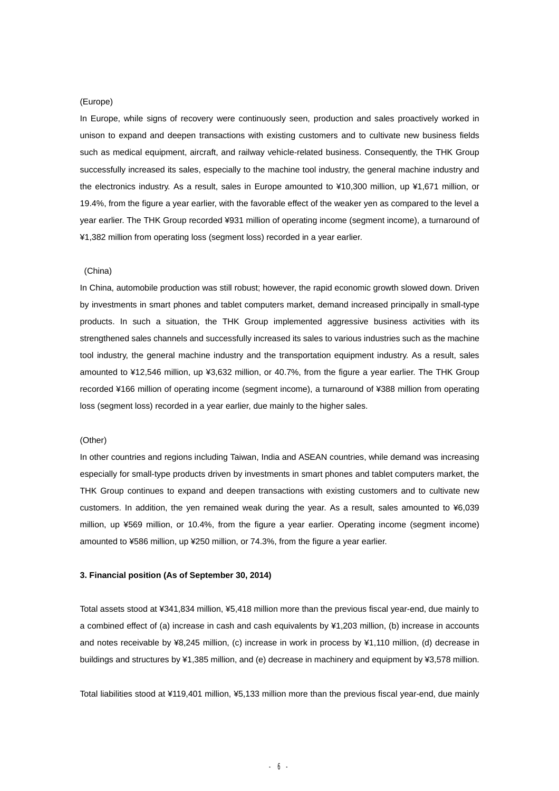#### (Europe)

In Europe, while signs of recovery were continuously seen, production and sales proactively worked in unison to expand and deepen transactions with existing customers and to cultivate new business fields such as medical equipment, aircraft, and railway vehicle-related business. Consequently, the THK Group successfully increased its sales, especially to the machine tool industry, the general machine industry and the electronics industry. As a result, sales in Europe amounted to ¥10,300 million, up ¥1,671 million, or 19.4%, from the figure a year earlier, with the favorable effect of the weaker yen as compared to the level a year earlier. The THK Group recorded ¥931 million of operating income (segment income), a turnaround of ¥1,382 million from operating loss (segment loss) recorded in a year earlier.

#### (China)

In China, automobile production was still robust; however, the rapid economic growth slowed down. Driven by investments in smart phones and tablet computers market, demand increased principally in small-type products. In such a situation, the THK Group implemented aggressive business activities with its strengthened sales channels and successfully increased its sales to various industries such as the machine tool industry, the general machine industry and the transportation equipment industry. As a result, sales amounted to ¥12,546 million, up ¥3,632 million, or 40.7%, from the figure a year earlier. The THK Group recorded ¥166 million of operating income (segment income), a turnaround of ¥388 million from operating loss (segment loss) recorded in a year earlier, due mainly to the higher sales.

#### (Other)

In other countries and regions including Taiwan, India and ASEAN countries, while demand was increasing especially for small-type products driven by investments in smart phones and tablet computers market, the THK Group continues to expand and deepen transactions with existing customers and to cultivate new customers. In addition, the yen remained weak during the year. As a result, sales amounted to ¥6,039 million, up ¥569 million, or 10.4%, from the figure a year earlier. Operating income (segment income) amounted to ¥586 million, up ¥250 million, or 74.3%, from the figure a year earlier.

#### **3. Financial position (As of September 30, 2014)**

Total assets stood at ¥341,834 million, ¥5,418 million more than the previous fiscal year-end, due mainly to a combined effect of (a) increase in cash and cash equivalents by ¥1,203 million, (b) increase in accounts and notes receivable by ¥8,245 million, (c) increase in work in process by ¥1,110 million, (d) decrease in buildings and structures by ¥1,385 million, and (e) decrease in machinery and equipment by ¥3,578 million.

Total liabilities stood at ¥119,401 million, ¥5,133 million more than the previous fiscal year-end, due mainly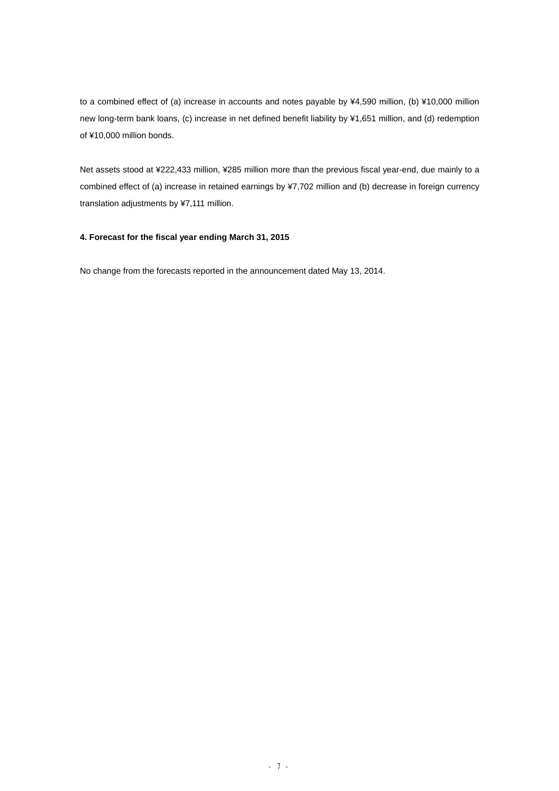to a combined effect of (a) increase in accounts and notes payable by ¥4,590 million, (b) ¥10,000 million new long-term bank loans, (c) increase in net defined benefit liability by ¥1,651 million, and (d) redemption of ¥10,000 million bonds.

Net assets stood at ¥222,433 million, ¥285 million more than the previous fiscal year-end, due mainly to a combined effect of (a) increase in retained earnings by ¥7,702 million and (b) decrease in foreign currency translation adjustments by ¥7,111 million.

#### **4. Forecast for the fiscal year ending March 31, 2015**

No change from the forecasts reported in the announcement dated May 13, 2014.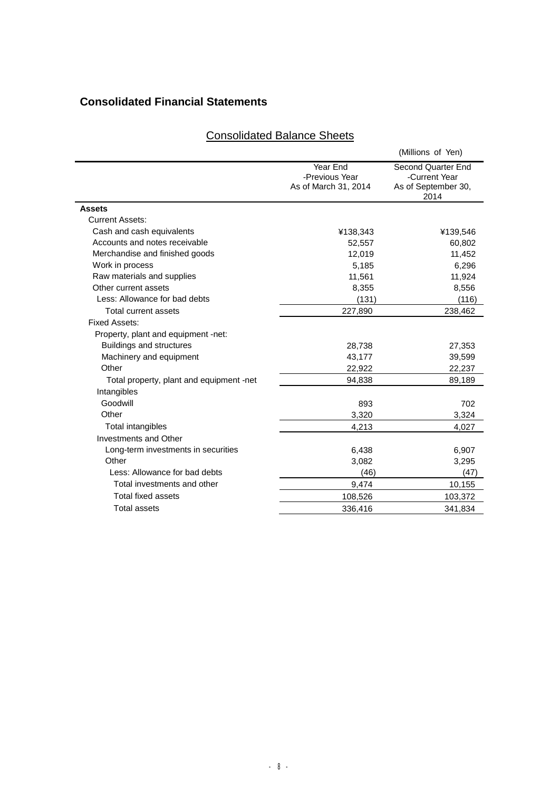# **Consolidated Financial Statements**

# (Millions of Yen) Year End -Previous Year Second Quarter End -Current Year As of March 31, 2014 As of September 30, 2014 **Assets**  Current Assets: Cash and cash equivalents **All Accords**  $\frac{4138,343}{4138,343}$   $\frac{4139,546}{4139,546}$ Accounts and notes receivable 60,802 Merchandise and finished goods 12,019 11,452 Work in process 6,296 Raw materials and supplies 11,561 11,561 11,924 Other current assets 8,556 8,556 Less: Allowance for bad debts (131) (131) (116) Total current assets 227,890 238,462 Fixed Assets: Property, plant and equipment -net: Buildings and structures 28,738 27,353 Machinery and equipment 139,599 and the control of the 43,177 39,599 and the 43,177 39,599 Other 22,922 22,922 22,9237 Total property, plant and equipment -net  $94,838$  89,189 Intangibles Goodwill 893 702 Other 3,320 3,324 Total intangibles 4,027 Investments and Other Long-term investments in securities 6,438 6,907 Other 3,082 3,295 Less: Allowance for bad debts (46) (47) Total investments and other example of the state of the 9,474 10,155 Total fixed assets 108,526 103,372 Total assets 336,416 341,834

# Consolidated Balance Sheets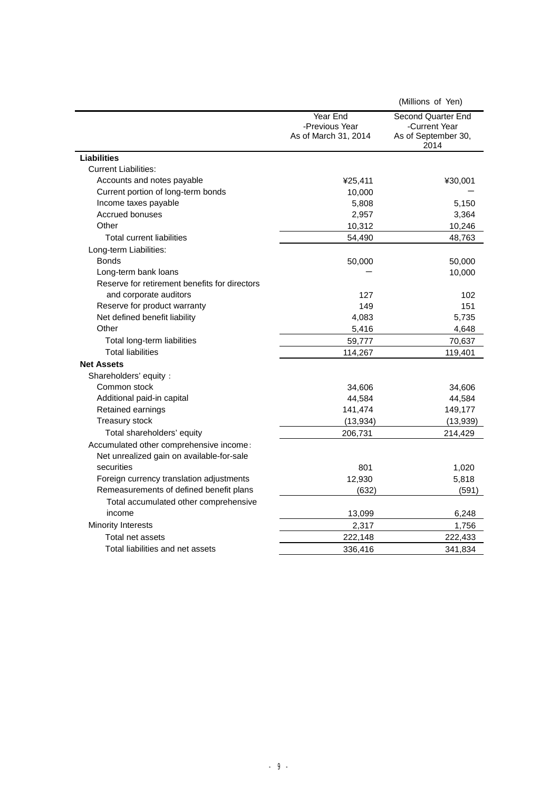|                                               |                                                    | (Millions of Yen)                                                  |
|-----------------------------------------------|----------------------------------------------------|--------------------------------------------------------------------|
|                                               | Year End<br>-Previous Year<br>As of March 31, 2014 | Second Quarter End<br>-Current Year<br>As of September 30,<br>2014 |
| <b>Liabilities</b>                            |                                                    |                                                                    |
| <b>Current Liabilities:</b>                   |                                                    |                                                                    |
| Accounts and notes payable                    | ¥25,411                                            | ¥30,001                                                            |
| Current portion of long-term bonds            | 10,000                                             |                                                                    |
| Income taxes payable                          | 5,808                                              | 5,150                                                              |
| <b>Accrued bonuses</b>                        | 2,957                                              | 3,364                                                              |
| Other                                         | 10,312                                             | 10,246                                                             |
| <b>Total current liabilities</b>              | 54,490                                             | 48,763                                                             |
| Long-term Liabilities:                        |                                                    |                                                                    |
| <b>Bonds</b>                                  | 50,000                                             | 50,000                                                             |
| Long-term bank loans                          |                                                    | 10,000                                                             |
| Reserve for retirement benefits for directors |                                                    |                                                                    |
| and corporate auditors                        | 127                                                | 102                                                                |
| Reserve for product warranty                  | 149                                                | 151                                                                |
| Net defined benefit liability                 | 4,083                                              | 5,735                                                              |
| Other                                         | 5,416                                              | 4,648                                                              |
| Total long-term liabilities                   | 59,777                                             | 70,637                                                             |
| <b>Total liabilities</b>                      | 114,267                                            | 119,401                                                            |
| <b>Net Assets</b>                             |                                                    |                                                                    |
| Shareholders' equity:                         |                                                    |                                                                    |
| Common stock                                  | 34,606                                             | 34,606                                                             |
| Additional paid-in capital                    | 44,584                                             | 44,584                                                             |
| Retained earnings                             | 141,474                                            | 149,177                                                            |
| Treasury stock                                | (13, 934)                                          | (13, 939)                                                          |
| Total shareholders' equity                    | 206,731                                            | 214,429                                                            |
| Accumulated other comprehensive income:       |                                                    |                                                                    |
| Net unrealized gain on available-for-sale     |                                                    |                                                                    |
| securities                                    | 801                                                | 1,020                                                              |
| Foreign currency translation adjustments      | 12,930                                             | 5,818                                                              |
| Remeasurements of defined benefit plans       | (632)                                              | (591)                                                              |
| Total accumulated other comprehensive         |                                                    |                                                                    |
| income                                        | 13,099                                             | 6,248                                                              |
| <b>Minority Interests</b>                     | 2,317                                              | 1,756                                                              |
| Total net assets                              | 222,148                                            | 222,433                                                            |
| Total liabilities and net assets              | 336.416                                            | 341,834                                                            |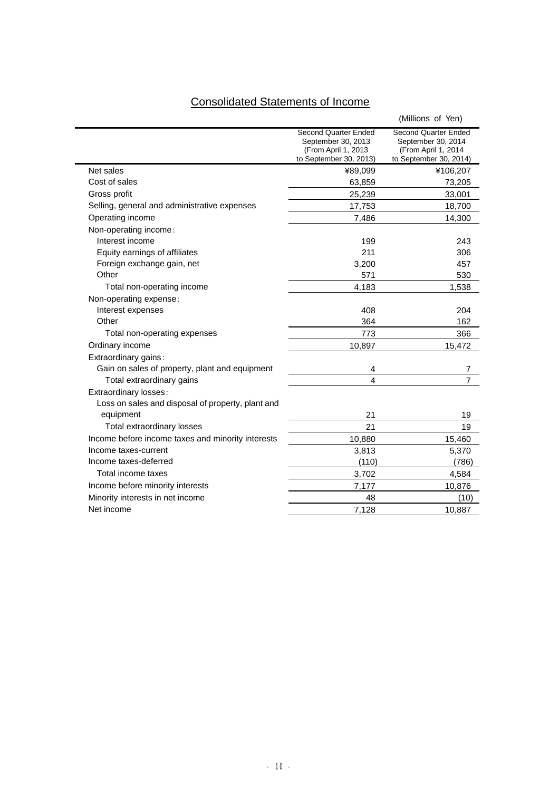# Consolidated Statements of Income

|                                                   |                                                                                              | (Millions of Yen)                                                                           |
|---------------------------------------------------|----------------------------------------------------------------------------------------------|---------------------------------------------------------------------------------------------|
|                                                   | Second Quarter Ended<br>September 30, 2013<br>(From April 1, 2013)<br>to September 30, 2013) | Second Quarter Ended<br>September 30, 2014<br>(From April 1, 2014<br>to September 30, 2014) |
| Net sales                                         | ¥89,099                                                                                      | ¥106,207                                                                                    |
| Cost of sales                                     | 63,859                                                                                       | 73,205                                                                                      |
| Gross profit                                      | 25,239                                                                                       | 33,001                                                                                      |
| Selling, general and administrative expenses      | 17,753                                                                                       | 18,700                                                                                      |
| Operating income                                  | 7,486                                                                                        | 14,300                                                                                      |
| Non-operating income:                             |                                                                                              |                                                                                             |
| Interest income                                   | 199                                                                                          | 243                                                                                         |
| Equity earnings of affiliates                     | 211                                                                                          | 306                                                                                         |
| Foreign exchange gain, net                        | 3,200                                                                                        | 457                                                                                         |
| Other                                             | 571                                                                                          | 530                                                                                         |
| Total non-operating income                        | 4,183                                                                                        | 1,538                                                                                       |
| Non-operating expense:                            |                                                                                              |                                                                                             |
| Interest expenses                                 | 408                                                                                          | 204                                                                                         |
| Other                                             | 364                                                                                          | 162                                                                                         |
| Total non-operating expenses                      | 773                                                                                          | 366                                                                                         |
| Ordinary income                                   | 10,897                                                                                       | 15,472                                                                                      |
| Extraordinary gains:                              |                                                                                              |                                                                                             |
| Gain on sales of property, plant and equipment    | 4                                                                                            | 7                                                                                           |
| Total extraordinary gains                         | $\overline{\mathbf{4}}$                                                                      | $\overline{7}$                                                                              |
| Extraordinary losses:                             |                                                                                              |                                                                                             |
| Loss on sales and disposal of property, plant and |                                                                                              |                                                                                             |
| equipment                                         | 21                                                                                           | 19                                                                                          |
| Total extraordinary losses                        | 21                                                                                           | 19                                                                                          |
| Income before income taxes and minority interests | 10,880                                                                                       | 15,460                                                                                      |
| Income taxes-current                              | 3,813                                                                                        | 5,370                                                                                       |
| Income taxes-deferred                             | (110)                                                                                        | (786)                                                                                       |
| Total income taxes                                | 3,702                                                                                        | 4,584                                                                                       |
| Income before minority interests                  | 7,177                                                                                        | 10,876                                                                                      |
| Minority interests in net income                  | 48                                                                                           | (10)                                                                                        |
| Net income                                        | 7,128                                                                                        | 10,887                                                                                      |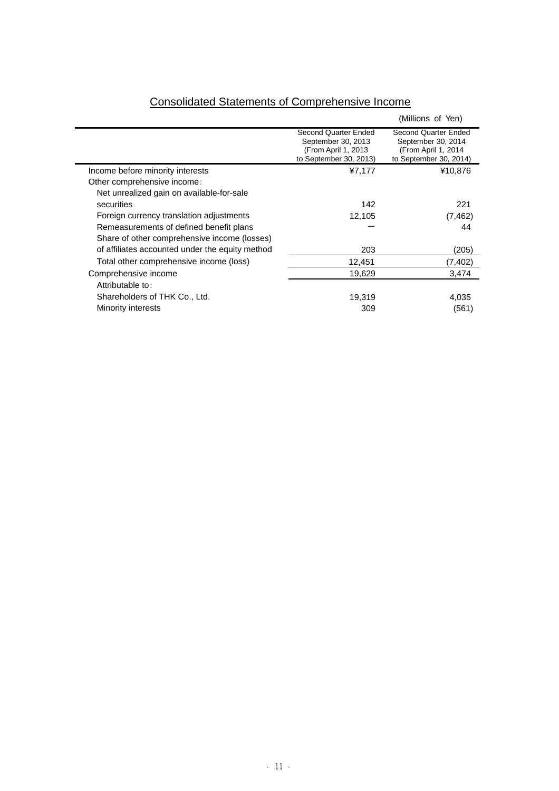|                                                 |                                                                                              | (Millions of Yen)                                                                           |
|-------------------------------------------------|----------------------------------------------------------------------------------------------|---------------------------------------------------------------------------------------------|
|                                                 | Second Quarter Ended<br>September 30, 2013<br>(From April 1, 2013)<br>to September 30, 2013) | Second Quarter Ended<br>September 30, 2014<br>(From April 1, 2014<br>to September 30, 2014) |
| Income before minority interests                | ¥7,177                                                                                       | ¥10,876                                                                                     |
| Other comprehensive income:                     |                                                                                              |                                                                                             |
| Net unrealized gain on available-for-sale       |                                                                                              |                                                                                             |
| securities                                      | 142                                                                                          | 221                                                                                         |
| Foreign currency translation adjustments        | 12,105                                                                                       | (7, 462)                                                                                    |
| Remeasurements of defined benefit plans         |                                                                                              | 44                                                                                          |
| Share of other comprehensive income (losses)    |                                                                                              |                                                                                             |
| of affiliates accounted under the equity method | 203                                                                                          | (205)                                                                                       |
| Total other comprehensive income (loss)         | 12,451                                                                                       | (7,402)                                                                                     |
| Comprehensive income                            | 19,629                                                                                       | 3,474                                                                                       |
| Attributable to:                                |                                                                                              |                                                                                             |
| Shareholders of THK Co., Ltd.                   | 19,319                                                                                       | 4,035                                                                                       |
| Minority interests                              | 309                                                                                          | (561)                                                                                       |
|                                                 |                                                                                              |                                                                                             |

# Consolidated Statements of Comprehensive Income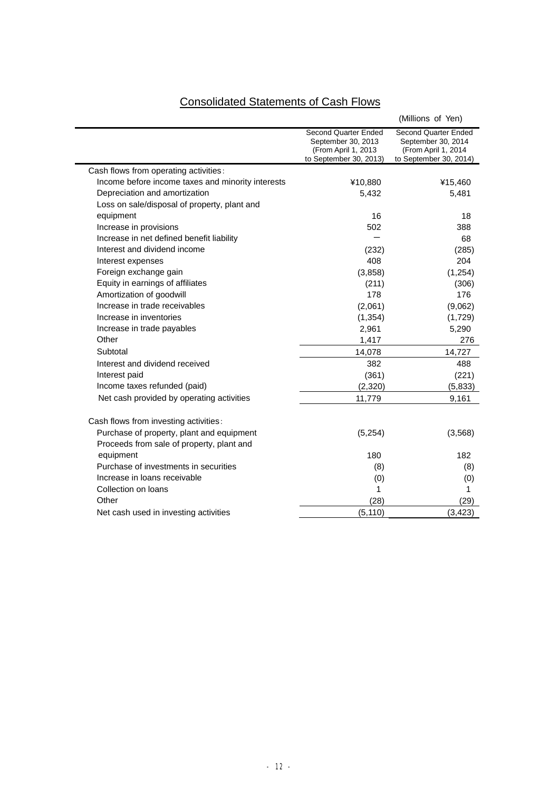# Consolidated Statements of Cash Flows

|                                                   |                                                                    | (Millions of Yen)                                                 |
|---------------------------------------------------|--------------------------------------------------------------------|-------------------------------------------------------------------|
|                                                   | Second Quarter Ended<br>September 30, 2013<br>(From April 1, 2013) | Second Quarter Ended<br>September 30, 2014<br>(From April 1, 2014 |
|                                                   | to September 30, 2013)                                             | to September 30, 2014)                                            |
| Cash flows from operating activities:             |                                                                    |                                                                   |
| Income before income taxes and minority interests | ¥10,880                                                            | ¥15,460                                                           |
| Depreciation and amortization                     | 5,432                                                              | 5,481                                                             |
| Loss on sale/disposal of property, plant and      |                                                                    |                                                                   |
| equipment                                         | 16                                                                 | 18                                                                |
| Increase in provisions                            | 502                                                                | 388                                                               |
| Increase in net defined benefit liability         |                                                                    | 68                                                                |
| Interest and dividend income                      | (232)                                                              | (285)                                                             |
| Interest expenses                                 | 408                                                                | 204                                                               |
| Foreign exchange gain                             | (3,858)                                                            | (1, 254)                                                          |
| Equity in earnings of affiliates                  | (211)                                                              | (306)                                                             |
| Amortization of goodwill                          | 178                                                                | 176                                                               |
| Increase in trade receivables                     | (2,061)                                                            | (9,062)                                                           |
| Increase in inventories                           | (1, 354)                                                           | (1,729)                                                           |
| Increase in trade payables                        | 2,961                                                              | 5,290                                                             |
| Other                                             | 1,417                                                              | 276                                                               |
| Subtotal                                          | 14,078                                                             | 14,727                                                            |
| Interest and dividend received                    | 382                                                                | 488                                                               |
| Interest paid                                     | (361)                                                              | (221)                                                             |
| Income taxes refunded (paid)                      | (2,320)                                                            | (5,833)                                                           |
| Net cash provided by operating activities         | 11,779                                                             | 9,161                                                             |
| Cash flows from investing activities:             |                                                                    |                                                                   |
| Purchase of property, plant and equipment         | (5,254)                                                            | (3, 568)                                                          |
| Proceeds from sale of property, plant and         |                                                                    |                                                                   |
| equipment                                         | 180                                                                | 182                                                               |
| Purchase of investments in securities             | (8)                                                                | (8)                                                               |
| Increase in loans receivable                      | (0)                                                                | (0)                                                               |
| Collection on loans                               | 1                                                                  | 1                                                                 |
| Other                                             | (28)                                                               | (29)                                                              |
| Net cash used in investing activities             | (5, 110)                                                           | (3, 423)                                                          |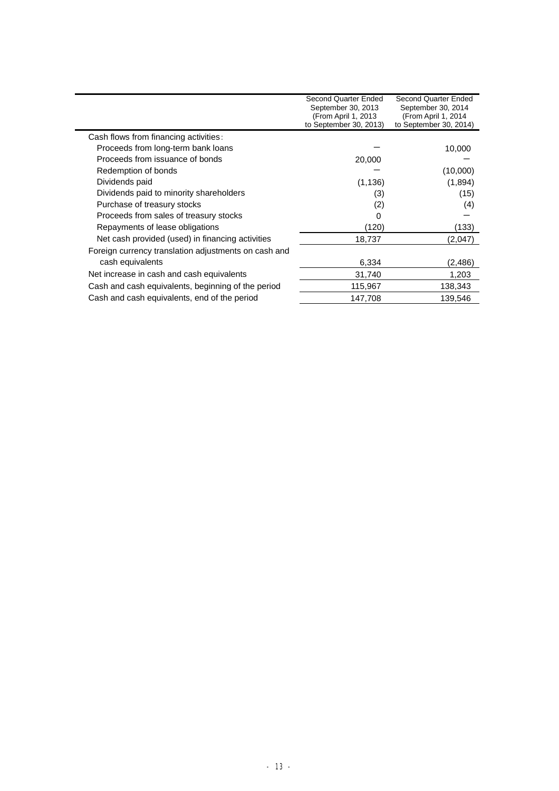|                                                      | Second Quarter Ended<br>September 30, 2013<br>(From April 1, 2013)<br>to September 30, 2013) | Second Quarter Ended<br>September 30, 2014<br>(From April 1, 2014<br>to September 30, 2014) |
|------------------------------------------------------|----------------------------------------------------------------------------------------------|---------------------------------------------------------------------------------------------|
| Cash flows from financing activities:                |                                                                                              |                                                                                             |
| Proceeds from long-term bank loans                   |                                                                                              | 10,000                                                                                      |
| Proceeds from issuance of bonds                      | 20,000                                                                                       |                                                                                             |
| Redemption of bonds                                  |                                                                                              | (10,000)                                                                                    |
| Dividends paid                                       | (1, 136)                                                                                     | (1,894)                                                                                     |
| Dividends paid to minority shareholders              | (3)                                                                                          | (15)                                                                                        |
| Purchase of treasury stocks                          | (2)                                                                                          | (4)                                                                                         |
| Proceeds from sales of treasury stocks               | 0                                                                                            |                                                                                             |
| Repayments of lease obligations                      | (120)                                                                                        | (133)                                                                                       |
| Net cash provided (used) in financing activities     | 18,737                                                                                       | (2,047)                                                                                     |
| Foreign currency translation adjustments on cash and |                                                                                              |                                                                                             |
| cash equivalents                                     | 6,334                                                                                        | (2, 486)                                                                                    |
| Net increase in cash and cash equivalents            | 31,740                                                                                       | 1,203                                                                                       |
| Cash and cash equivalents, beginning of the period   | 115,967                                                                                      | 138,343                                                                                     |
| Cash and cash equivalents, end of the period         | 147,708                                                                                      | 139.546                                                                                     |
|                                                      |                                                                                              |                                                                                             |